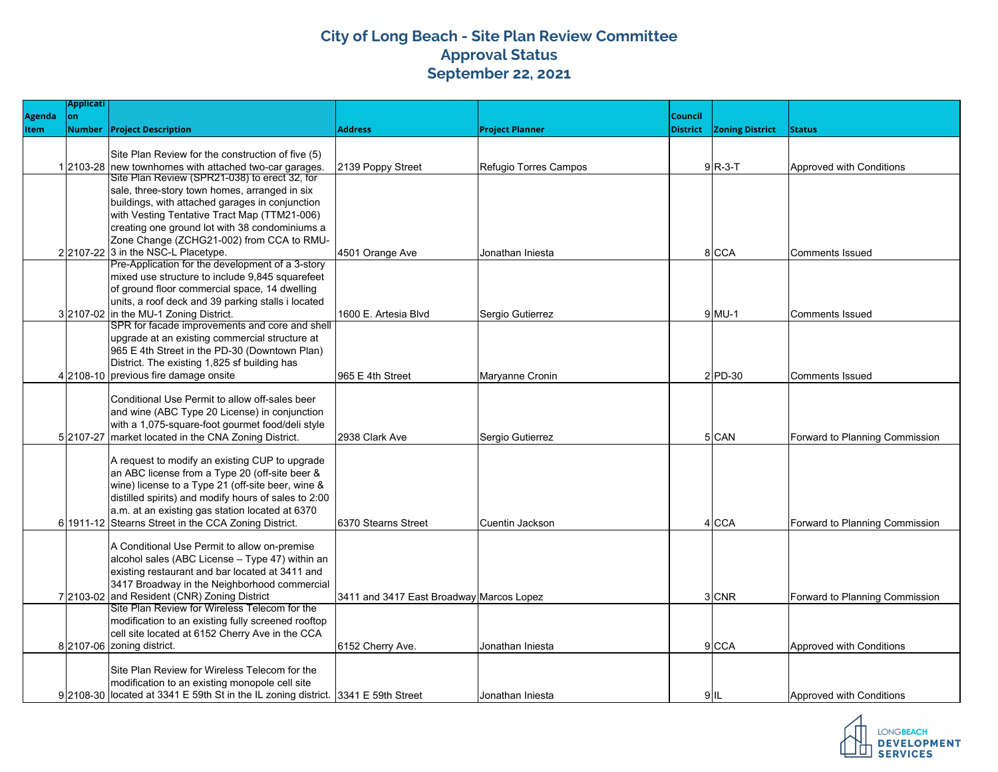## **City of Long Beach - Site Plan Review Committee Approval Status September 22, 2021**

|                              | <b>Applicati</b> |                                                                                                          |                                          |                        |                            |                        |                                |
|------------------------------|------------------|----------------------------------------------------------------------------------------------------------|------------------------------------------|------------------------|----------------------------|------------------------|--------------------------------|
| <b>Agenda</b><br><b>Item</b> | lon              | <b>Number Project Description</b>                                                                        | <b>Address</b>                           | <b>Project Planner</b> | Council<br><b>District</b> | <b>Zoning District</b> | <b>Status</b>                  |
|                              |                  |                                                                                                          |                                          |                        |                            |                        |                                |
|                              |                  | Site Plan Review for the construction of five (5)                                                        |                                          |                        |                            |                        |                                |
|                              |                  | 12103-28 new townhomes with attached two-car garages.                                                    | 2139 Poppy Street                        | Refugio Torres Campos  |                            | $9R-3-T$               | Approved with Conditions       |
|                              |                  | Site Plan Review (SPR21-038) to erect 32, for                                                            |                                          |                        |                            |                        |                                |
|                              |                  | sale, three-story town homes, arranged in six                                                            |                                          |                        |                            |                        |                                |
|                              |                  | buildings, with attached garages in conjunction                                                          |                                          |                        |                            |                        |                                |
|                              |                  | with Vesting Tentative Tract Map (TTM21-006)<br>creating one ground lot with 38 condominiums a           |                                          |                        |                            |                        |                                |
|                              |                  | Zone Change (ZCHG21-002) from CCA to RMU-                                                                |                                          |                        |                            |                        |                                |
|                              |                  | 2 2107-22 3 in the NSC-L Placetype.                                                                      | 4501 Orange Ave                          | Jonathan Iniesta       |                            | 8 CCA                  | Comments Issued                |
|                              |                  | Pre-Application for the development of a 3-story                                                         |                                          |                        |                            |                        |                                |
|                              |                  | mixed use structure to include 9,845 squarefeet                                                          |                                          |                        |                            |                        |                                |
|                              |                  | of ground floor commercial space, 14 dwelling                                                            |                                          |                        |                            |                        |                                |
|                              |                  | units, a roof deck and 39 parking stalls i located                                                       |                                          |                        |                            |                        |                                |
|                              |                  | 3 2107-02 in the MU-1 Zoning District.                                                                   | 1600 E. Artesia Blvd                     | Sergio Gutierrez       |                            | $9$ MU-1               | Comments Issued                |
|                              |                  | SPR for facade improvements and core and shell                                                           |                                          |                        |                            |                        |                                |
|                              |                  | upgrade at an existing commercial structure at                                                           |                                          |                        |                            |                        |                                |
|                              |                  | 965 E 4th Street in the PD-30 (Downtown Plan)                                                            |                                          |                        |                            |                        |                                |
|                              |                  | District. The existing 1,825 sf building has                                                             |                                          |                        |                            |                        |                                |
|                              |                  | 4 2108-10 previous fire damage onsite                                                                    | 965 E 4th Street                         | Maryanne Cronin        |                            | $2$ PD-30              | <b>IComments Issued</b>        |
|                              |                  |                                                                                                          |                                          |                        |                            |                        |                                |
|                              |                  | Conditional Use Permit to allow off-sales beer                                                           |                                          |                        |                            |                        |                                |
|                              |                  | and wine (ABC Type 20 License) in conjunction                                                            |                                          |                        |                            |                        |                                |
|                              |                  | with a 1,075-square-foot gourmet food/deli style<br>5 2107-27 market located in the CNA Zoning District. | 2938 Clark Ave                           |                        |                            | 5 CAN                  |                                |
|                              |                  |                                                                                                          |                                          | Sergio Gutierrez       |                            |                        | Forward to Planning Commission |
|                              |                  | A request to modify an existing CUP to upgrade                                                           |                                          |                        |                            |                        |                                |
|                              |                  | an ABC license from a Type 20 (off-site beer &                                                           |                                          |                        |                            |                        |                                |
|                              |                  | wine) license to a Type 21 (off-site beer, wine &                                                        |                                          |                        |                            |                        |                                |
|                              |                  | distilled spirits) and modify hours of sales to 2:00                                                     |                                          |                        |                            |                        |                                |
|                              |                  | a.m. at an existing gas station located at 6370                                                          |                                          |                        |                            |                        |                                |
|                              |                  | 6 1911-12 Stearns Street in the CCA Zoning District.                                                     | 6370 Stearns Street                      | Cuentin Jackson        |                            | 4 CCA                  | Forward to Planning Commission |
|                              |                  |                                                                                                          |                                          |                        |                            |                        |                                |
|                              |                  | A Conditional Use Permit to allow on-premise                                                             |                                          |                        |                            |                        |                                |
|                              |                  | alcohol sales (ABC License - Type 47) within an                                                          |                                          |                        |                            |                        |                                |
|                              |                  | existing restaurant and bar located at 3411 and                                                          |                                          |                        |                            |                        |                                |
|                              |                  | 3417 Broadway in the Neighborhood commercial                                                             |                                          |                        |                            |                        |                                |
|                              |                  | 7 2103-02 and Resident (CNR) Zoning District<br>Site Plan Review for Wireless Telecom for the            | 3411 and 3417 East Broadway Marcos Lopez |                        |                            | 3 CNR                  | Forward to Planning Commission |
|                              |                  | modification to an existing fully screened rooftop                                                       |                                          |                        |                            |                        |                                |
|                              |                  | cell site located at 6152 Cherry Ave in the CCA                                                          |                                          |                        |                            |                        |                                |
|                              |                  | 8 2107-06 zoning district.                                                                               | 6152 Cherry Ave.                         | Jonathan Iniesta       |                            | 9 CCA                  | Approved with Conditions       |
|                              |                  |                                                                                                          |                                          |                        |                            |                        |                                |
|                              |                  | Site Plan Review for Wireless Telecom for the                                                            |                                          |                        |                            |                        |                                |
|                              |                  | modification to an existing monopole cell site                                                           |                                          |                        |                            |                        |                                |
|                              |                  | 9 2108-30 located at 3341 E 59th St in the IL zoning district. 3341 E 59th Street                        |                                          | Jonathan Injesta       |                            | $9$ IL                 | Approved with Conditions       |